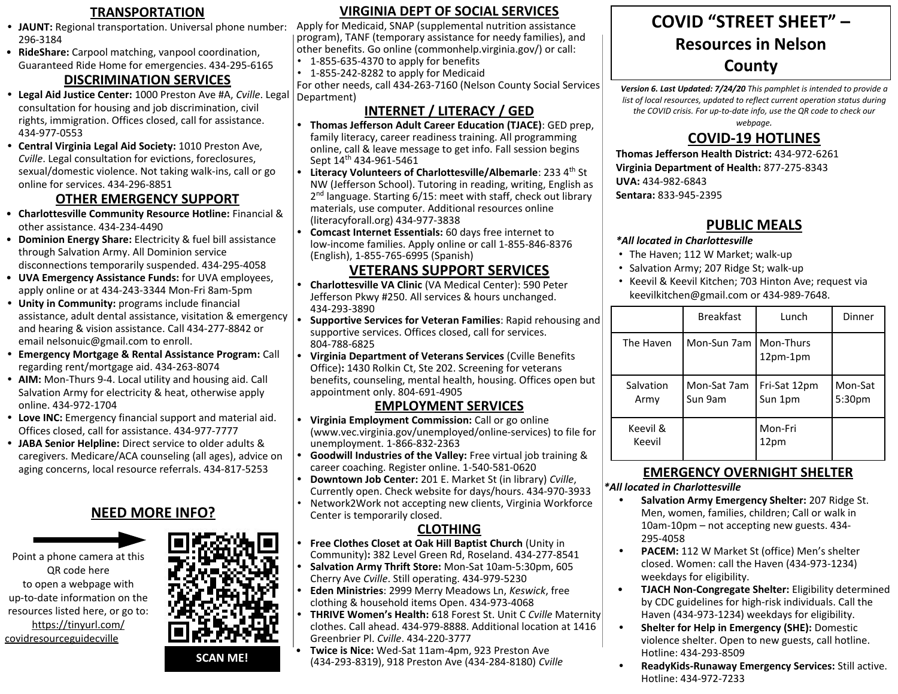- **• JAUNT:** Regional transportation. Universal phone number: 296-3184
- **RideShare:** Carpool matching, vanpool coordination, Guaranteed Ride Home for emergencies. 434-295-6165

#### **DISCRIMINATION SERVICES**

- **• Legal Aid Justice Center:** 1000 Preston Ave #A, *Cville*. Legal consultation for housing and job discrimination, civil rights, immigration. Offices closed, call for assistance. 434-977-0553
- **• Central Virginia Legal Aid Society:** 1010 Preston Ave, *Cville*. Legal consultation for evictions, foreclosures, sexual/domestic violence. Not taking walk-ins, call or go online for services. 434-296-8851

#### **OTHER EMERGENCY SUPPORT**

- **Charlottesville Community Resource Hotline:** Financial & other assistance. 434-234-4490
- **Dominion Energy Share:** Electricity & fuel bill assistance through Salvation Army. All Dominion service disconnections temporarily suspended. 434-295-4058
- **UVA Emergency Assistance Funds:** for UVA employees, apply online or at 434-243-3344 Mon-Fri 8am-5pm
- **• Unity in Community:** programs include financial assistance, adult dental assistance, visitation & emergency and hearing & vision assistance. Call 434-277-8842 or email nelsonuic@gmail.com to enroll.
- **• Emergency Mortgage & Rental Assistance Program:** Call regarding rent/mortgage aid. 434-263-8074
- **• AIM:** Mon-Thurs 9-4. Local utility and housing aid. Call Salvation Army for electricity & heat, otherwise apply online. 434-972-1704
- **• Love INC:** Emergency financial support and material aid. Offices closed, call for assistance. 434-977-7777
- **• JABA Senior Helpline:** Direct service to older adults & caregivers. Medicare/ACA counseling (all ages), advice on aging concerns, local resource referrals. 434-817-5253

## **NEED MORE INFO?**



Point a phone camera at this QR code here to open a webpage with up-to-date information on the resources listed here, or go to: [https://tinyurl.com/](https://tinyurl.com/covidresourceguidecville) [covidresourceguidecville](https://tinyurl.com/covidresourceguidecville)



#### **TRANSPORTATION DIRGINIA DEPT OF SOCIAL SERVICES COVID "STREET SHEET" VIRGINIA DEPT OF SOCIAL SERVICES**

Apply for Medicaid, SNAP (supplemental nutrition assistance program), TANF (temporary assistance for needy families), and other benefits. Go online (commonhelp.virginia.gov/) or call:

- 1-855-635-4370 to apply for benefits
- 1-855-242-8282 to apply for Medicaid

For other needs, call 434-263-7160 (Nelson County Social Services Department)

## **INTERNET / LITERACY / GED**

- **• Thomas Jefferson Adult Career Education (TJACE)**: GED prep, family literacy, career readiness training. All programming online, call & leave message to get info. Fall session begins Sept 14<sup>th</sup> 434-961-5461
- **Literacy Volunteers of Charlottesville/Albemarle: 233 4<sup>th</sup> St** NW (Jefferson School). Tutoring in reading, writing, English as 2<sup>nd</sup> language. Starting 6/15: meet with staff, check out library materials, use computer. Additional resources online (literacyforall.org) 434-977-3838
- **• Comcast Internet Essentials:** 60 days free internet to low-income families. Apply online or call 1-855-846-8376 (English), 1-855-765-6995 (Spanish)

## **VETERANS SUPPORT SERVICES**

- **• Charlottesville VA Clinic** (VA Medical Center): 590 Peter Jefferson Pkwy #250. All services & hours unchanged. 434-293-3890
- **• Supportive Services for Veteran Families**: Rapid rehousing and supportive services. Offices closed, call for services. 804-788-6825
- **• Virginia Department of Veterans Services** (Cville Benefits Office)**:** 1430 Rolkin Ct, Ste 202. Screening for veterans benefits, counseling, mental health, housing. Offices open but appointment only. 804-691-4905

#### **EMPLOYMENT SERVICES**

- **• Virginia Employment Commission:** Call or go online (www.vec.virginia.gov/unemployed/online-services) to file for unemployment. 1-866-832-2363
- **• Goodwill Industries of the Valley:** Free virtual job training & career coaching. Register online. 1-540-581-0620
- **• Downtown Job Center:** 201 E. Market St (in library) *Cville*, Currently open. Check website for days/hours. 434-970-3933
- Network2Work not accepting new clients, Virginia Workforce Center is temporarily closed.

## **CLOTHING**

- **• Free Clothes Closet at Oak Hill Baptist Church** (Unity in Community)**:** 382 Level Green Rd, Roseland. 434-277-8541
- **• Salvation Army Thrift Store:** Mon-Sat 10am-5:30pm, 605 Cherry Ave *Cville*. Still operating. 434-979-5230
- **• Eden Ministries**: 2999 Merry Meadows Ln, *Keswick*, free clothing & household items Open. 434-973-4068
- **• THRIVE Women's Health:** 618 Forest St. Unit C *Cville* Maternity clothes. Call ahead. 434-979-8888. Additional location at 1416 Greenbrier Pl. *Cville*. 434-220-3777
- **Twice is Nice:** Wed-Sat 11am-4pm, 923 Preston Ave (434-293-8319), 918 Preston Ave (434-284-8180) *Cville*

# **COVID "STREET SHEET" – Resources in Nelson County**

*Version 6. Last Updated: 7/24/20 This pamphlet is intended to provide a*  list of local resources, updated to reflect current operation status during *the COVID crisis. For up-to-date info, use the QR code to check our* 

*webpage.* 

# **COVID-19 HOTLINES**

**Thomas Jefferson Health District:** 434-972-6261 **Virginia Department of Health:** 877-275-8343 **UVA:** 434-982-6843 **Sentara:** 833-945-2395

## **PUBLIC MEALS**

#### *\*All located in Charlottesville*

- The Haven; 112 W Market; walk-up
- Salvation Army; 207 Ridge St; walk-up
- Keevil & Keevil Kitchen; 703 Hinton Ave; request via keevilkitchen@gmail.com or 434-989-7648.

|                    | <b>Breakfast</b>       | Lunch                   | Dinner                        |
|--------------------|------------------------|-------------------------|-------------------------------|
| The Haven          | Mon-Sun 7am I          | Mon-Thurs<br>$12pm-1pm$ |                               |
| Salvation<br>Army  | Mon-Sat 7am<br>Sun 9am | Fri-Sat 12pm<br>Sun 1pm | Mon-Sat<br>5:30 <sub>pm</sub> |
| Keevil &<br>Keevil |                        | Mon-Fri<br>12pm         |                               |

## **EMERGENCY OVERNIGHT SHELTER**

#### *\*All located in Charlottesville*

- **• Salvation Army Emergency Shelter:** 207 Ridge St. Men, women, families, children; Call or walk in 10am-10pm – not accepting new guests. 434- 295-4058
- **• PACEM:** 112 W Market St (office) Men's shelter closed. Women: call the Haven (434-973-1234) weekdays for eligibility.
- **TJACH Non-Congregate Shelter:** Eligibility determined by CDC guidelines for high-risk individuals. Call the Haven (434-973-1234) weekdays for eligibility.
- **• Shelter for Help in Emergency (SHE):** Domestic violence shelter. Open to new guests, call hotline. Hotline: 434-293-8509
- **• ReadyKids-Runaway Emergency Services:** Still active. Hotline: 434-972-7233